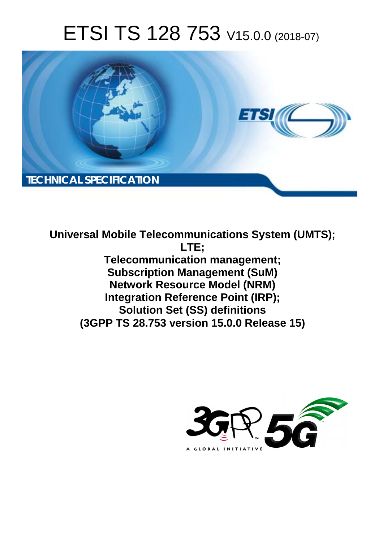# ETSI TS 128 753 V15.0.0 (2018-07)



**Universal Mobile Telecommunications System (UMTS); LTE; Telecommunication management; Subscription Management (SuM) Network Resource Model (NRM) Integration Reference Point (IRP); Solution Set (SS) definitions (3GPP TS 28.753 version 15.0.0 Release 15)** 

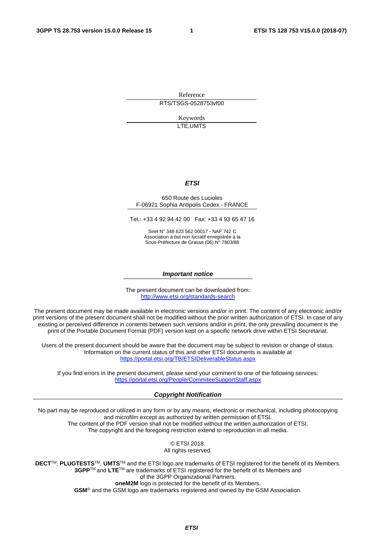Reference RTS/TSGS-0528753vf00

> Keywords LTE,UMTS

#### *ETSI*

#### 650 Route des Lucioles F-06921 Sophia Antipolis Cedex - FRANCE

Tel.: +33 4 92 94 42 00 Fax: +33 4 93 65 47 16

Siret N° 348 623 562 00017 - NAF 742 C Association à but non lucratif enregistrée à la Sous-Préfecture de Grasse (06) N° 7803/88

#### *Important notice*

The present document can be downloaded from: <http://www.etsi.org/standards-search>

The present document may be made available in electronic versions and/or in print. The content of any electronic and/or print versions of the present document shall not be modified without the prior written authorization of ETSI. In case of any existing or perceived difference in contents between such versions and/or in print, the only prevailing document is the print of the Portable Document Format (PDF) version kept on a specific network drive within ETSI Secretariat.

Users of the present document should be aware that the document may be subject to revision or change of status. Information on the current status of this and other ETSI documents is available at <https://portal.etsi.org/TB/ETSIDeliverableStatus.aspx>

If you find errors in the present document, please send your comment to one of the following services: <https://portal.etsi.org/People/CommiteeSupportStaff.aspx>

#### *Copyright Notification*

No part may be reproduced or utilized in any form or by any means, electronic or mechanical, including photocopying and microfilm except as authorized by written permission of ETSI. The content of the PDF version shall not be modified without the written authorization of ETSI. The copyright and the foregoing restriction extend to reproduction in all media.

> © ETSI 2018. All rights reserved.

**DECT**TM, **PLUGTESTS**TM, **UMTS**TM and the ETSI logo are trademarks of ETSI registered for the benefit of its Members. **3GPP**TM and **LTE**TM are trademarks of ETSI registered for the benefit of its Members and of the 3GPP Organizational Partners. **oneM2M** logo is protected for the benefit of its Members.

**GSM**® and the GSM logo are trademarks registered and owned by the GSM Association.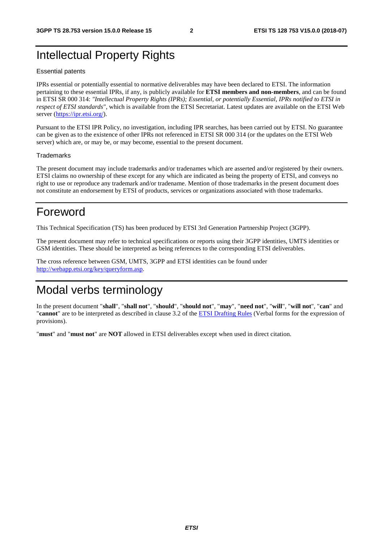# Intellectual Property Rights

#### Essential patents

IPRs essential or potentially essential to normative deliverables may have been declared to ETSI. The information pertaining to these essential IPRs, if any, is publicly available for **ETSI members and non-members**, and can be found in ETSI SR 000 314: *"Intellectual Property Rights (IPRs); Essential, or potentially Essential, IPRs notified to ETSI in respect of ETSI standards"*, which is available from the ETSI Secretariat. Latest updates are available on the ETSI Web server ([https://ipr.etsi.org/\)](https://ipr.etsi.org/).

Pursuant to the ETSI IPR Policy, no investigation, including IPR searches, has been carried out by ETSI. No guarantee can be given as to the existence of other IPRs not referenced in ETSI SR 000 314 (or the updates on the ETSI Web server) which are, or may be, or may become, essential to the present document.

#### **Trademarks**

The present document may include trademarks and/or tradenames which are asserted and/or registered by their owners. ETSI claims no ownership of these except for any which are indicated as being the property of ETSI, and conveys no right to use or reproduce any trademark and/or tradename. Mention of those trademarks in the present document does not constitute an endorsement by ETSI of products, services or organizations associated with those trademarks.

# Foreword

This Technical Specification (TS) has been produced by ETSI 3rd Generation Partnership Project (3GPP).

The present document may refer to technical specifications or reports using their 3GPP identities, UMTS identities or GSM identities. These should be interpreted as being references to the corresponding ETSI deliverables.

The cross reference between GSM, UMTS, 3GPP and ETSI identities can be found under [http://webapp.etsi.org/key/queryform.asp.](http://webapp.etsi.org/key/queryform.asp)

# Modal verbs terminology

In the present document "**shall**", "**shall not**", "**should**", "**should not**", "**may**", "**need not**", "**will**", "**will not**", "**can**" and "**cannot**" are to be interpreted as described in clause 3.2 of the [ETSI Drafting Rules](https://portal.etsi.org/Services/editHelp!/Howtostart/ETSIDraftingRules.aspx) (Verbal forms for the expression of provisions).

"**must**" and "**must not**" are **NOT** allowed in ETSI deliverables except when used in direct citation.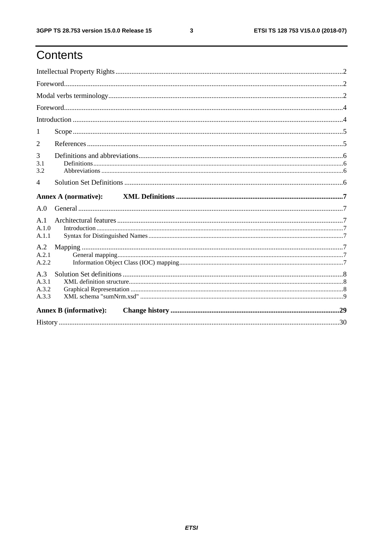# Contents

| 1                              |                             |  |  |  |  |  |  |
|--------------------------------|-----------------------------|--|--|--|--|--|--|
| $\overline{2}$                 |                             |  |  |  |  |  |  |
| 3<br>3.1<br>3.2                |                             |  |  |  |  |  |  |
| $\overline{4}$                 |                             |  |  |  |  |  |  |
|                                | <b>Annex A (normative):</b> |  |  |  |  |  |  |
| A.0                            |                             |  |  |  |  |  |  |
| A.1<br>A.1.0<br>A.1.1          |                             |  |  |  |  |  |  |
| A.2<br>A.2.1<br>A.2.2          |                             |  |  |  |  |  |  |
| A.3<br>A.3.1<br>A.3.2<br>A.3.3 |                             |  |  |  |  |  |  |
| <b>Annex B</b> (informative):  |                             |  |  |  |  |  |  |
|                                |                             |  |  |  |  |  |  |

 $\mathbf{3}$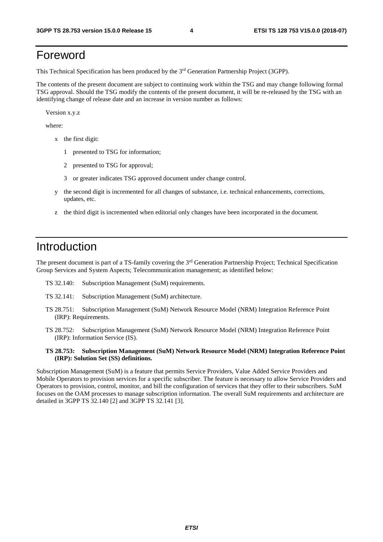# Foreword

This Technical Specification has been produced by the 3rd Generation Partnership Project (3GPP).

The contents of the present document are subject to continuing work within the TSG and may change following formal TSG approval. Should the TSG modify the contents of the present document, it will be re-released by the TSG with an identifying change of release date and an increase in version number as follows:

Version x.y.z

where:

- x the first digit:
	- 1 presented to TSG for information;
	- 2 presented to TSG for approval;
	- 3 or greater indicates TSG approved document under change control.
- y the second digit is incremented for all changes of substance, i.e. technical enhancements, corrections, updates, etc.
- z the third digit is incremented when editorial only changes have been incorporated in the document.

# Introduction

The present document is part of a TS-family covering the 3rd Generation Partnership Project; Technical Specification Group Services and System Aspects; Telecommunication management; as identified below:

- TS 32.140: Subscription Management (SuM) requirements.
- TS 32.141: Subscription Management (SuM) architecture.
- TS 28.751: Subscription Management (SuM) Network Resource Model (NRM) Integration Reference Point (IRP): Requirements.
- TS 28.752: Subscription Management (SuM) Network Resource Model (NRM) Integration Reference Point (IRP): Information Service (IS).
- **TS 28.753: Subscription Management (SuM) Network Resource Model (NRM) Integration Reference Point (IRP): Solution Set (SS) definitions.**

Subscription Management (SuM) is a feature that permits Service Providers, Value Added Service Providers and Mobile Operators to provision services for a specific subscriber. The feature is necessary to allow Service Providers and Operators to provision, control, monitor, and bill the configuration of services that they offer to their subscribers. SuM focuses on the OAM processes to manage subscription information. The overall SuM requirements and architecture are detailed in 3GPP TS 32.140 [2] and 3GPP TS 32.141 [3].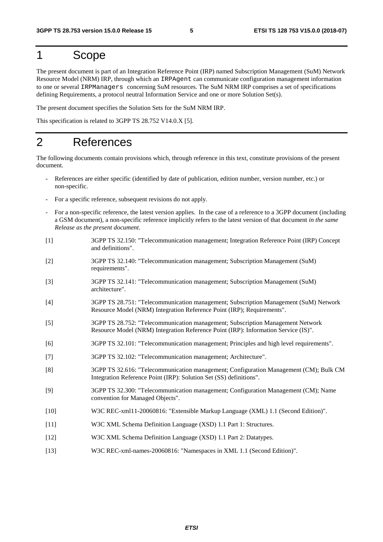### 1 Scope

The present document is part of an Integration Reference Point (IRP) named Subscription Management (SuM) Network Resource Model (NRM) IRP, through which an IRPAgent can communicate configuration management information to one or several IRPManagers concerning SuM resources. The SuM NRM IRP comprises a set of specifications defining Requirements, a protocol neutral Information Service and one or more Solution Set(s).

The present document specifies the Solution Sets for the SuM NRM IRP.

This specification is related to 3GPP TS 28.752 V14.0.X [5].

### 2 References

The following documents contain provisions which, through reference in this text, constitute provisions of the present document.

- References are either specific (identified by date of publication, edition number, version number, etc.) or non-specific.
- For a specific reference, subsequent revisions do not apply.
- For a non-specific reference, the latest version applies. In the case of a reference to a 3GPP document (including a GSM document), a non-specific reference implicitly refers to the latest version of that document *in the same Release as the present document*.
- [1] 3GPP TS 32.150: "Telecommunication management; Integration Reference Point (IRP) Concept and definitions".
- [2] 3GPP TS 32.140: "Telecommunication management; Subscription Management (SuM) requirements".
- [3] 3GPP TS 32.141: "Telecommunication management; Subscription Management (SuM) architecture".
- [4] 3GPP TS 28.751: "Telecommunication management; Subscription Management (SuM) Network Resource Model (NRM) Integration Reference Point (IRP); Requirements".
- [5] 3GPP TS 28.752: "Telecommunication management; Subscription Management Network Resource Model (NRM) Integration Reference Point (IRP): Information Service (IS)".
- [6] 3GPP TS 32.101: "Telecommunication management; Principles and high level requirements".
- [7] 3GPP TS 32.102: "Telecommunication management; Architecture".
- [8] 3GPP TS 32.616: "Telecommunication management; Configuration Management (CM); Bulk CM Integration Reference Point (IRP): Solution Set (SS) definitions".
- [9] 3GPP TS 32.300: "Telecommunication management; Configuration Management (CM); Name convention for Managed Objects".
- [10] W3C REC-xml11-20060816: "Extensible Markup Language (XML) 1.1 (Second Edition)".
- [11] W3C XML Schema Definition Language (XSD) 1.1 Part 1: Structures.
- [12] W3C XML Schema Definition Language (XSD) 1.1 Part 2: Datatypes.
- [13] W3C REC-xml-names-20060816: "Namespaces in XML 1.1 (Second Edition)".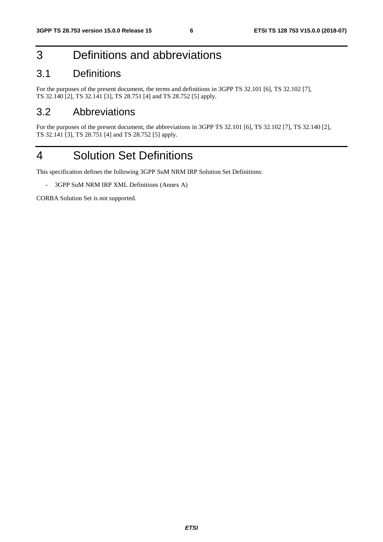# 3 Definitions and abbreviations

### 3.1 Definitions

For the purposes of the present document, the terms and definitions in 3GPP TS 32.101 [6], TS 32.102 [7], TS 32.140 [2], TS 32.141 [3], TS 28.751 [4] and TS 28.752 [5] apply.

#### 3.2 Abbreviations

For the purposes of the present document, the abbreviations in 3GPP TS 32.101 [6], TS 32.102 [7], TS 32.140 [2], TS 32.141 [3], TS 28.751 [4] and TS 28.752 [5] apply.

# 4 Solution Set Definitions

This specification defines the following 3GPP SuM NRM IRP Solution Set Definitions:

- 3GPP SuM NRM IRP XML Definitions (Annex A)

CORBA Solution Set is not supported.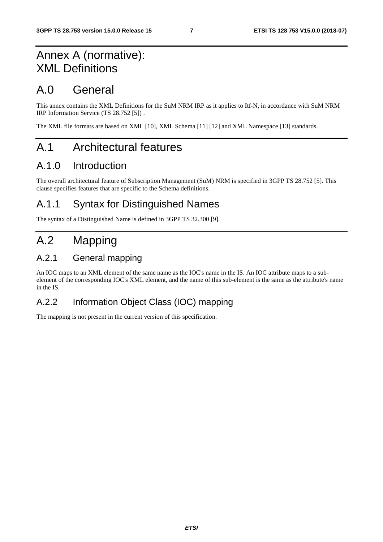# Annex A (normative): XML Definitions

# A.0 General

This annex contains the XML Definitions for the SuM NRM IRP as it applies to Itf-N, in accordance with SuM NRM IRP Information Service (TS 28.752 [5]) .

The XML file formats are based on XML [10], XML Schema [11] [12] and XML Namespace [13] standards.

# A.1 Architectural features

### A.1.0 Introduction

The overall architectural feature of Subscription Management (SuM) NRM is specified in 3GPP TS 28.752 [5]. This clause specifies features that are specific to the Schema definitions.

### A.1.1 Syntax for Distinguished Names

The syntax of a Distinguished Name is defined in 3GPP TS 32.300 [9].

# A.2 Mapping

#### A.2.1 General mapping

An IOC maps to an XML element of the same name as the IOC's name in the IS. An IOC attribute maps to a subelement of the corresponding IOC's XML element, and the name of this sub-element is the same as the attribute's name in the IS.

#### A.2.2 Information Object Class (IOC) mapping

The mapping is not present in the current version of this specification.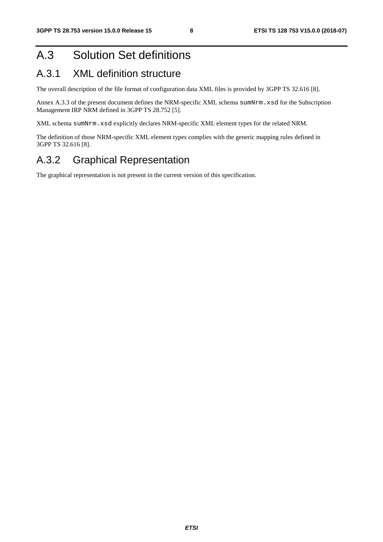# A.3 Solution Set definitions

### A.3.1 XML definition structure

The overall description of the file format of configuration data XML files is provided by 3GPP TS 32.616 [8].

Annex A.3.3 of the present document defines the NRM-specific XML schema sumNrm.xsd for the Subscription Management IRP NRM defined in 3GPP TS 28.752 [5].

XML schema sumNrm.xsd explicitly declares NRM-specific XML element types for the related NRM.

The definition of those NRM-specific XML element types complies with the generic mapping rules defined in 3GPP TS 32.616 [8].

#### A.3.2 Graphical Representation

The graphical representation is not present in the current version of this specification.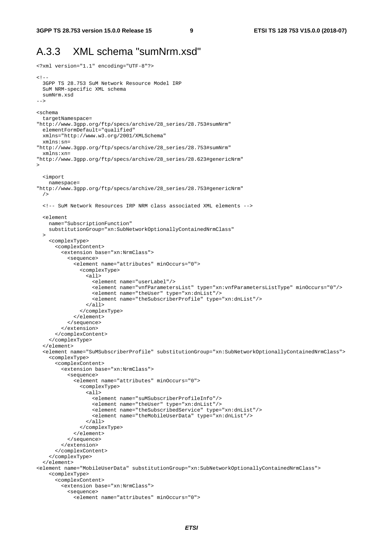<?xml version="1.1" encoding="UTF-8"?>

#### A.3.3 XML schema "sumNrm.xsd"

```
< ! - - 3GPP TS 28.753 SuM Network Resource Model IRP 
  SuM NRM-specific XML schema 
   sumNrm.xsd 
--> 
<schema 
   targetNamespace= 
"http://www.3gpp.org/ftp/specs/archive/28_series/28.753#sumNrm" 
  elementFormDefault="qualified" 
  xmlns="http://www.w3.org/2001/XMLSchema" 
  xmlns:sn= 
"http://www.3gpp.org/ftp/specs/archive/28_series/28.753#sumNrm" 
  xmlns:xn= 
"http://www.3gpp.org/ftp/specs/archive/28_series/28.623#genericNrm" 
> <import 
    namespace= 
"http://www.3gpp.org/ftp/specs/archive/28_series/28.753#genericNrm" 
   /> 
   <!-- SuM Network Resources IRP NRM class associated XML elements --> 
  \epsilonelement
     name="SubscriptionFunction" 
     substitutionGroup="xn:SubNetworkOptionallyContainedNrmClass" 
   > 
     <complexType> 
       <complexContent> 
         <extension base="xn:NrmClass"> 
           <sequence> 
              <element name="attributes" minOccurs="0"> 
                <complexType> 
                  <all> 
                     <element name="userLabel"/> 
                     <element name="vnfParametersList" type="xn:vnfParametersListType" minOccurs="0"/> 
                     <element name="theUser" type="xn:dnList"/> 
                     <element name="theSubscriberProfile" type="xn:dnList"/> 
                 \langleall\rangle </complexType> 
              </element> 
            </sequence> 
          </extension> 
       </complexContent> 
     </complexType> 
  \epsilon/element>
   <element name="SuMSubscriberProfile" substitutionGroup="xn:SubNetworkOptionallyContainedNrmClass"> 
     <complexType> 
       <complexContent> 
         <extension base="xn:NrmClass"> 
            <sequence> 
              <element name="attributes" minOccurs="0"> 
                <complexType> 
                 \leq all\geq <element name="suMSubscriberProfileInfo"/> 
                     <element name="theUser" type="xn:dnList"/> 
                     <element name="theSubscribedService" type="xn:dnList"/> 
                     <element name="theMobileUserData" type="xn:dnList"/> 
                 \epsilon/all\epsilon </complexType> 
              </element> 
           </sequence> 
         </extension> 
       </complexContent> 
     </complexType> 
   </element> 
<element name="MobileUserData" substitutionGroup="xn:SubNetworkOptionallyContainedNrmClass"> 
     <complexType> 
       <complexContent> 
         <extension base="xn:NrmClass"> 
           <sequence> 
              <element name="attributes" minOccurs="0">
```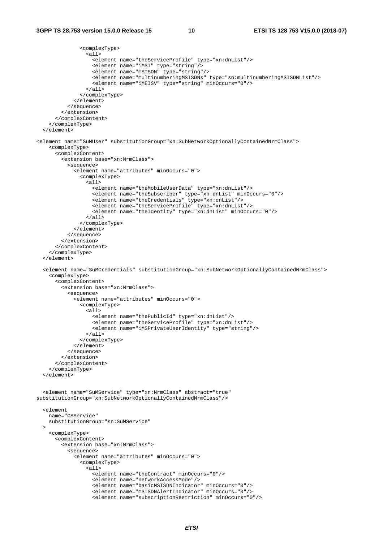```
 <complexType> 
                  <all> 
                    <element name="theServiceProfile" type="xn:dnList"/> 
                    <element name="iMSI" type="string"/> 
                    <element name="mSISDN" type="string"/> 
                    <element name="multinumberingMSISDNs" type="sn:multinumberingMSISDNList"/> 
                    <element name="iMEISV" type="string" minOccurs="0"/> 
                 \langleall\rangle </complexType> 
              </element> 
           </sequence> 
         </extension> 
       </complexContent> 
     </complexType> 
   </element> 
<element name="SuMUser" substitutionGroup="xn:SubNetworkOptionallyContainedNrmClass"> 
     <complexType> 
       <complexContent> 
         <extension base="xn:NrmClass"> 
           <sequence> 
              <element name="attributes" minOccurs="0"> 
                <complexType> 
                  <all> 
                    <element name="theMobileUserData" type="xn:dnList"/> 
 <element name="theSubscriber" type="xn:dnList" minOccurs="0"/> 
 <element name="theCredentials" type="xn:dnList"/> 
                    <element name="theServiceProfile" type="xn:dnList"/> 
                    <element name="theIdentity" type="xn:dnList" minOccurs="0"/> 
                 \epsilon/all\epsilon </complexType> 
              </element> 
            </sequence> 
         </extension> 
       </complexContent> 
     </complexType> 
   </element> 
  <element name="SuMCredentials" substitutionGroup="xn:SubNetworkOptionallyContainedNrmClass"> 
     <complexType> 
       <complexContent> 
         <extension base="xn:NrmClass"> 
            <sequence> 
              <element name="attributes" minOccurs="0"> 
                <complexType> 
                  <all> 
                    <element name="thePublicId" type="xn:dnList"/> 
                    <element name="theServiceProfile" type="xn:dnList"/> 
                    <element name="iMSPrivateUserIdentity" type="string"/> 
                 \langleall\rangle </complexType> 
              </element> 
            </sequence> 
          </extension> 
       </complexContent> 
     </complexType> 
  \epsilon/element>
   <element name="SuMService" type="xn:NrmClass" abstract="true" 
substitutionGroup="xn:SubNetworkOptionallyContainedNrmClass"/> 
   <element 
     name="CSService" 
     substitutionGroup="sn:SuMService" 
  \rightarrow <complexType> 
       <complexContent> 
         <extension base="xn:NrmClass"> 
           <sequence> 
              <element name="attributes" minOccurs="0"> 
                <complexType> 
                  <all> 
                    <element name="theContract" minOccurs="0"/> 
                    <element name="networkAccessMode"/> 
                    <element name="basicMSISDNIndicator" minOccurs="0"/> 
                    <element name="mSISDNAlertIndicator" minOccurs="0"/> 
                    <element name="subscriptionRestriction" minOccurs="0"/>
```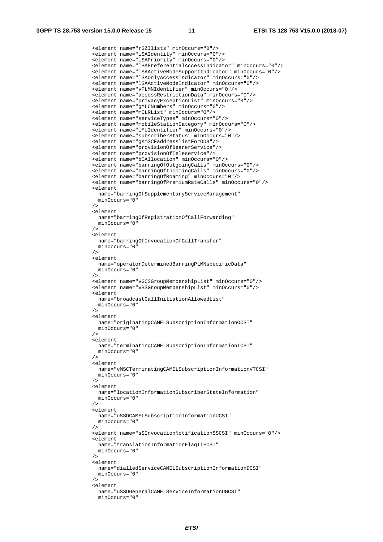<element name="rSZIlists" minOccurs="0"/> <element name="lSAIdentity" minOccurs="0"/> <element name="lSAPriority" minOccurs="0"/> <element name="lSAPreferentialAccessIndicator" minOccurs="0"/> <element name="lSAActiveModeSupportIndicator" minOccurs="0"/> <element name="lSAOnlyAccessIndicator" minOccurs="0"/> <element name="lSAActiveModeIndicator" minOccurs="0"/> <element name="vPLMNIdentifier" minOccurs="0"/> <element name="accessRestrictionData" minOccurs="0"/> <element name="privacyExceptionList" minOccurs="0"/> <element name="gMLCNumbers" minOccurs="0"/> <element name="mOLRList" minOccurs="0"/> <element name="serviceTypes" minOccurs="0"/> <element name="mobileStationCategory" minOccurs="0"/> <element name="lMUIdentifier" minOccurs="0"/> <element name="subscriberStatus" minOccurs="0"/> <element name="gsmSCFaddresslistForODB"/> <element name="provisionOfBearerService"/> <element name="provisionOfTeleservice"/> <element name="bCAllocation" minOccurs="0"/> <element name="barringOfOutgoingCalls" minOccurs="0"/> <element name="barringOfIncomingCalls" minOccurs="0"/> <element name="barringOfRoaming" minOccurs="0"/> <element name="barringOfPremiumRateCalls" minOccurs="0"/> <element name="barringOfSupplementaryServiceManagement" minOccurs="0" /> <element name="barringOfRegistrationOfCallForwarding" minOccurs="0" /> <element name="barringOfInvocationOfCallTransfer" minOccurs="0" /> <element name="operatorDeterminedBarringPLMNspecificData" minOccurs="0"  $/$  <element name="vGCSGroupMembershipList" minOccurs="0"/> <element name="vBSGroupMembershipList" minOccurs="0"/> <element name="broadcastCallInitiationAllowedList" minOccurs="0" /> <element name="originatingCAMELSubscriptionInformationOCSI" minOccurs="0"  $/$  <element name="terminatingCAMELSubscriptionInformationTCSI" minOccurs="0" /> <element name="vMSCTerminatingCAMELSubscriptionInformationVTCSI" minOccurs="0" /> <element name="locationInformationSubscriberStateInformation" minOccurs="0" /> <element name="uSSDCAMELSubscriptionInformationUCSI" minOccurs="0" /> <element name="sSInvocationNotificationSSCSI" minOccurs="0"/> <element name="translationInformationFlagTIFCSI" minOccurs="0" /> <element name="dialledServiceCAMELSubscriptionInformationDCSI" minOccurs="0" /> <element name="uSSDGeneralCAMELServiceInformationUGCSI" minOccurs="0"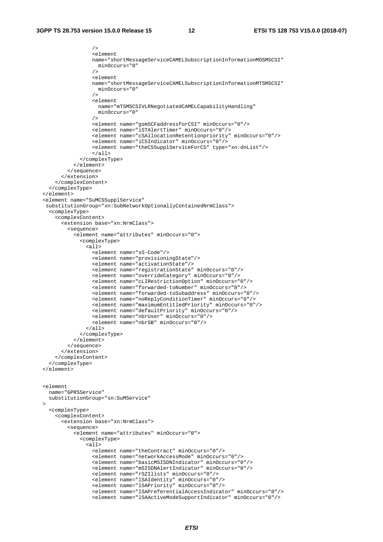```
 /> 
                   <element 
                   name="shortMessageServiceCAMELSubscriptionInformationMOSMSCSI" 
                     minOccurs="0" 
 /> 
                   <element 
                   name="shortMessageServiceCAMELSubscriptionInformationMTSMSCSI" 
                   minOccurs="0" 
 /> 
                   <element 
                     name="mTSMSCSIVLRNegotiatedCAMELCapabilityHandling" 
                     minOccurs="0" 
 /> 
                   <element name="gsmSCFaddressforCSI" minOccurs="0"/> 
                   <element name="iSTAlertTimer" minOccurs="0"/> 
                   <element name="cSAllocationRetentionpriority" minOccurs="0"/> 
                   <element name="iCSIndicator" minOccurs="0"/> 
                   <element name="theCSSupplServiceForCS" type="xn:dnList"/> 
                   </all> 
               </complexType> 
             </element> 
           </sequence> 
         </extension> 
       </complexContent> 
    </complexType> 
  </element> 
   <element name="SuMCSSupplService" 
   substitutionGroup="xn:SubNetworkOptionallyContainedNrmClass"> 
    <complexType> 
       <complexContent> 
         <extension base="xn:NrmClass"> 
           <sequence> 
             <element name="attributes" minOccurs="0"> 
               <complexType> 
                \leq 115
                   <element name="sS-Code"/> 
                   <element name="provisioningState"/> 
                   <element name="activationState"/> 
                   <element name="registrationState" minOccurs="0"/> 
                   <element name="overrideCategory" minOccurs="0"/> 
                   <element name="cLIRestrictionOption" minOccurs="0"/> 
                   <element name="forwarded-toNumber" minOccurs="0"/> 
                   <element name="forwarded-toSubaddress" minOccurs="0"/> 
                   <element name="noReplyConditionTimer" minOccurs="0"/> 
                   <element name="maximumEntitledPriority" minOccurs="0"/> 
                   <element name="defaultPriority" minOccurs="0"/> 
                   <element name="nbrUser" minOccurs="0"/> 
                   <element name="nbrSB" minOccurs="0"/> 
                \langleall\rangle </complexType> 
             </element> 
           </sequence> 
         </extension> 
       </complexContent> 
     </complexType> 
  </element> 
  <element 
    name="GPRSService" 
    substitutionGroup="sn:SuMService" 
\rightarrow <complexType> 
       <complexContent> 
         <extension base="xn:NrmClass"> 
           <sequence> 
             <element name="attributes" minOccurs="0"> 
               <complexType> 
                <sub>a11></sub></sub>
                   <element name="theContract" minOccurs="0"/> 
                   <element name="networkAccessMode" minOccurs="0"/> 
                   <element name="basicMSISDNIndicator" minOccurs="0"/> 
                   <element name="mSISDNAlertIndicator" minOccurs="0"/> 
                   <element name="rSZIlists" minOccurs="0"/> 
                   <element name="lSAIdentity" minOccurs="0"/> 
                   <element name="lSAPriority" minOccurs="0"/> 
                   <element name="lSAPreferentialAccessIndicator" minOccurs="0"/> 
                   <element name="lSAActiveModeSupportIndicator" minOccurs="0"/>
```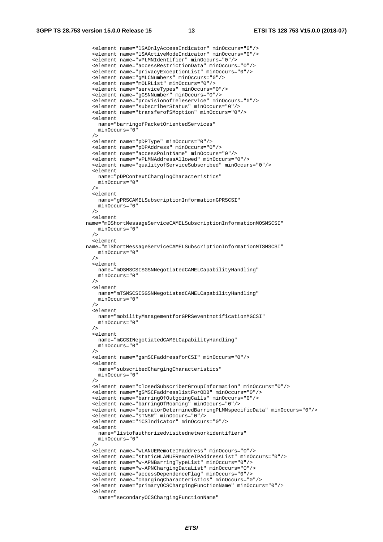<element name="lSAOnlyAccessIndicator" minOccurs="0"/> <element name="lSAActiveModeIndicator" minOccurs="0"/> <element name="vPLMNIdentifier" minOccurs="0"/> <element name="accessRestrictionData" minOccurs="0"/> <element name="privacyExceptionList" minOccurs="0"/> <element name="gMLCNumbers" minOccurs="0"/> <element name="mOLRList" minOccurs="0"/> <element name="serviceTypes" minOccurs="0"/> <element name="gGSNNumber" minOccurs="0"/> <element name="provisionofTeleservice" minOccurs="0"/> <element name="subscriberStatus" minOccurs="0"/> <element name="transferofSMoption" minOccurs="0"/> <element name="barringofPacketOrientedServices" minOccurs="0" /> <element name="pDPType" minOccurs="0"/> <element name="pDPAddress" minOccurs="0"/> <element name="accessPointName" minOccurs="0"/> <element name="vPLMNAddressAllowed" minOccurs="0"/> <element name="qualityofServiceSubscribed" minOccurs="0"/> <element name="pDPContextChargingCharacteristics" minOccurs="0" /> <element name="gPRSCAMELSubscriptionInformationGPRSCSI" minOccurs="0" /> <element name="mOShortMessageServiceCAMELSubscriptionInformationMOSMSCSI" minOccurs="0" /> <element name="mTShortMessageServiceCAMELSubscriptionInformationMTSMSCSI" minOccurs="0" /> <element name="mOSMSCSISGSNNegotiatedCAMELCapabilityHandling" minOccurs="0" /> <element name="mTSMSCSISGSNNegotiatedCAMELCapabilityHandling" minOccurs="0" /> <element name="mobilityManagementforGPRSeventnotificationMGCSI" minOccurs="0" /> <element name="mGCSINegotiatedCAMELCapabilityHandling" minOccurs="0" /> <element name="gsmSCFaddressforCSI" minOccurs="0"/> <element name="subscribedChargingCharacteristics" minOccurs="0" /> <element name="closedSubscriberGroupInformation" minOccurs="0"/> <element name="gSMSCFaddresslistForODB" minOccurs="0"/> <element name="barringOfOutgoingCalls" minOccurs="0"/> <element name="barringOfRoaming" minOccurs="0"/> <element name="operatorDeterminedBarringPLMNspecificData" minOccurs="0"/> <element name="sTNSR" minOccurs="0"/> <element name="iCSIndicator" minOccurs="0"/> <element name="listofauthorizedvisitednetworkidentifiers" minOccurs="0" /> <element name="wLANUERemoteIPaddress" minOccurs="0"/> <element name="staticWLANUERemoteIPAddressList" minOccurs="0"/> <element name="w-APNBarringTypeList" minOccurs="0"/> <element name="w-APNChargingDataList" minOccurs="0"/> <element name="accessDependenceFlag" minOccurs="0"/> <element name="chargingCharacteristics" minOccurs="0"/> <element name="primaryOCSChargingFunctionName" minOccurs="0"/> <element name="secondaryOCSChargingFunctionName"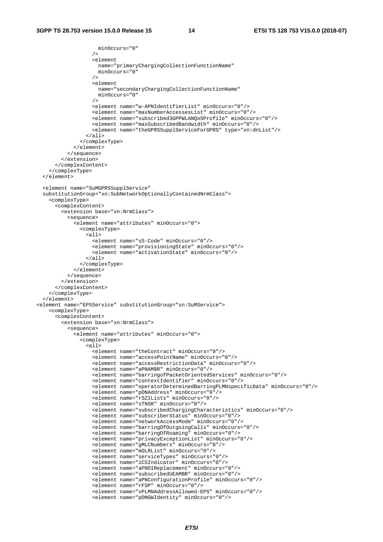```
 minOccurs="0" 
 /> 
                   <element 
                     name="primaryChargingCollectionFunctionName" 
                     minOccurs="0" 
 /> 
                   <element 
                     name="secondaryChargingCollectionFunctionName" 
                     minOccurs="0" 
 /> 
                   <element name="w-APNIdentifierList" minOccurs="0"/> 
                   <element name="maxNumberAccessesList" minOccurs="0"/> 
                   <element name="subscribed3GPPWLANQoSProfile" minOccurs="0"/> 
                   <element name="maxSubscribedBandwidth" minOccurs="0"/> 
                   <element name="theGPRSSupplServiceForGPRS" type="xn:dnList"/> 
                \langleall\rangle </complexType> 
             </element> 
           </sequence> 
         </extension> 
       </complexContent> 
    </complexType> 
   </element> 
  <element name="SuMGPRSSupplService" 
 substitutionGroup="xn:SubNetworkOptionallyContainedNrmClass"> 
     <complexType> 
      <complexContent> 
         <extension base="xn:NrmClass"> 
           <sequence> 
             <element name="attributes" minOccurs="0"> 
               <complexType> 
                \overline{311} <element name="sS-Code" minOccurs="0"/> 
                   <element name="provisioningState" minOccurs="0"/> 
                   <element name="activationState" minOccurs="0"/> 
                \langleall\rangle </complexType> 
             </element> 
           </sequence> 
         </extension> 
       </complexContent> 
    </complexType> 
  </element> 
<element name="EPSService" substitutionGroup="sn:SuMService"> 
    <complexType> 
       <complexContent> 
         <extension base="xn:NrmClass"> 
           <sequence> 
             <element name="attributes" minOccurs="0"> 
               <complexType> 
                 <all> 
                   <element name="theContract" minOccurs="0"/> 
                   <element name="accessPointName" minOccurs="0"/> 
                   <element name="accessRestrictionData" minOccurs="0"/> 
                   <element name="aPNAMBR" minOccurs="0"/> 
                   <element name="barringofPacketOrientedServices" minOccurs="0"/> 
                   <element name="contextIdentifier" minOccurs="0"/> 
                   <element name="operatorDeterminedBarringPLMNspecificData" minOccurs="0"/> 
                   <element name="pDNAddress" minOccurs="0"/> 
                   <element name="rSZILists" minOccurs="0"/> 
                   <element name="sTNSR" minOccurs="0"/> 
                   <element name="subscribedChargingCharacteristics" minOccurs="0"/> 
 <element name="subscriberStatus" minOccurs="0"/> 
 <element name="networkAccessMode" minOccurs="0"/> 
                   <element name="barringOfOutgoingCalls" minOccurs="0"/> 
                   <element name="barringOfRoaming" minOccurs="0"/> 
                   <element name="privacyExceptionList" minOccurs="0"/> 
                   <element name="gMLCNumbers" minOccurs="0"/> 
                   <element name="mOLRList" minOccurs="0"/> 
                   <element name="serviceTypes" minOccurs="0"/> 
                   <element name="iCSIndicator" minOccurs="0"/> 
                   <element name="aPNOIReplacement" minOccurs="0"/> 
                   <element name="subscribedUEAMBR" minOccurs="0"/> 
                   <element name="aPNConfigurationProfile" minOccurs="0"/> 
                   <element name="rFSP" minOccurs="0"/> 
                   <element name="vPLMNAddressAllowed-EPS" minOccurs="0"/> 
                   <element name="pDNGWIdentity" minOccurs="0"/>
```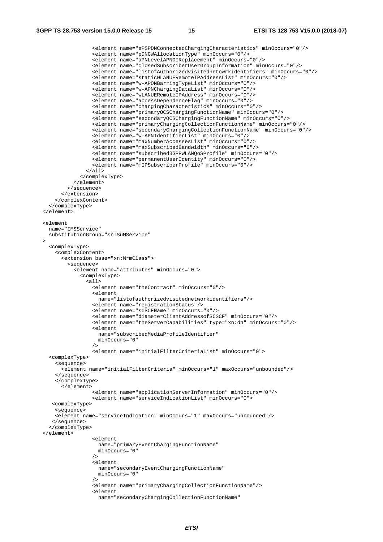<element name="ePSPDNConnectedChargingCharacteristics" minOccurs="0"/> <element name="pDNGWAllocationType" minOccurs="0"/> <element name="aPNLevelAPNOIReplacement" minOccurs="0"/> <element name="closedSubscriberUserGroupInformation" minOccurs="0"/> <element name="listofAuthorizedvisitednetowrkidentifiers" minOccurs="0"/> <element name="staticWLANUERemoteIPAddressList" minOccurs="0"/> <element name="w-APONBarringTypeList" minOccurs="0"/> <element name="w-APNChargingDataList" minOccurs="0"/> <element name="wLANUERemoteIPAddress" minOccurs="0"/> <element name="accessDependenceFlag" minOccurs="0"/> <element name="chargingCharacteristics" minOccurs="0"/> <element name="primaryOCSChargingFunctionName" minOccurs="0"/> <element name="secondaryOCSChargingFunctionName" minOccurs="0"/> <element name="primaryChargingCollectionFunctionName" minOccurs="0"/> <element name="secondaryChargingCollectionFunctionName" minOccurs="0"/> <element name="w-APNIdentifierList" minOccurs="0"/> <element name="maxNumberAccessesList" minOccurs="0"/> <element name="maxSubscribedBandwidth" minOccurs="0"/> <element name="subscribed3GPPWLANQoSProfile" minOccurs="0"/> <element name="permanentUserIdentity" minOccurs="0"/> <element name="mIPSubscriberProfile" minOccurs="0"/>  $\langle$ all $\rangle$  </complexType> </element> </sequence> </extension> </complexContent> </complexType> </element> <element name="IMSService" substitutionGroup="sn:SuMService"  $\rightarrow$  <complexType> <complexContent> <extension base="xn:NrmClass"> <sequence> <element name="attributes" minOccurs="0"> <complexType>  $<sub>all</sub>$ </sub> <element name="theContract" minOccurs="0"/> <element name="listofauthorizedvisitednetworkidentifiers"/> <element name="registrationStatus"/> <element name="sCSCFName" minOccurs="0"/> <element name="diameterClientAddressofSCSCF" minOccurs="0"/> <element name="theServerCapabilities" type="xn:dn" minOccurs="0"/> <element name="subscribedMediaProfileIdentifier" minOccurs="0" /> <element name="initialFilterCriteriaList" minOccurs="0"> <complexType> <sequence> <element name="initialFilterCriteria" minOccurs="1" maxOccurs="unbounded"/> </sequence> </complexType> </element> <element name="applicationServerInformation" minOccurs="0"/> <element name="serviceIndicationList" minOccurs="0"> <complexType> <sequence> <element name="serviceIndication" minOccurs="1" maxOccurs="unbounded"/> </sequence> </complexType> </element> <element name="primaryEventChargingFunctionName" minOccurs="0" /> <element name="secondaryEventChargingFunctionName" minOccurs="0" /> <element name="primaryChargingCollectionFunctionName"/> <element name="secondaryChargingCollectionFunctionName"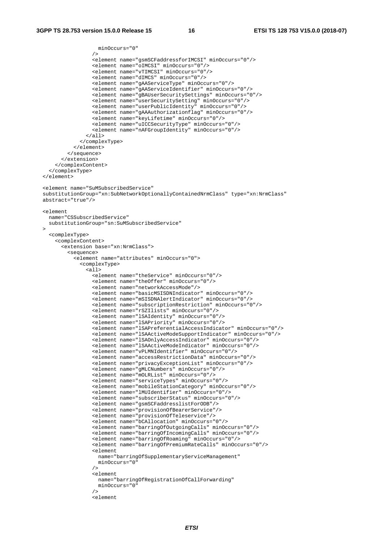```
 minOccurs="0" 
 /> 
                   <element name="gsmSCFaddressforIMCSI" minOccurs="0"/> 
                   <element name="oIMCSI" minOccurs="0"/> 
                   <element name="vTIMCSI" minOccurs="0"/> 
                   <element name="dIMCS" minOccurs="0"/> 
                   <element name="gAAServiceType" minOccurs="0"/> 
                   <element name="gAAServiceIdentifier" minOccurs="0"/> 
                   <element name="gBAUserSecuritySettings" minOccurs="0"/> 
                   <element name="userSecuritySetting" minOccurs="0"/> 
                   <element name="userPublicIdentity" minOccurs="0"/> 
                   <element name="gAAAuthorizationflag" minOccurs="0"/> 
                   <element name="keyLifetime" minOccurs="0"/> 
                   <element name="uICCSecurityType" minOccurs="0"/> 
                   <element name="nAFGroupIdentity" minOccurs="0"/> 
                \langleall\rangle </complexType> 
             </element> 
           </sequence> 
         </extension> 
      </complexContent> 
    </complexType> 
   </element> 
  <element name="SuMSubscribedService" 
 substitutionGroup="xn:SubNetworkOptionallyContainedNrmClass" type="xn:NrmClass" 
 abstract="true"/> 
  <element 
    name="CSSubscribedService" 
    substitutionGroup="sn:SuMSubscribedService" 
\rightarrow <complexType> 
       <complexContent> 
         <extension base="xn:NrmClass"> 
           <sequence> 
             <element name="attributes" minOccurs="0"> 
               <complexType> 
                 <all> 
                   <element name="theService" minOccurs="0"/> 
                   <element name="theOffer" minOccurs="0"/> 
                   <element name="networkAccessMode"/> 
                   <element name="basicMSISDNIndicator" minOccurs="0"/> 
                   <element name="mSISDNAlertIndicator" minOccurs="0"/> 
                   <element name="subscriptionRestriction" minOccurs="0"/> 
                   <element name="rSZIlists" minOccurs="0"/> 
                   <element name="lSAIdentity" minOccurs="0"/> 
                   <element name="lSAPriority" minOccurs="0"/> 
                   <element name="lSAPreferentialAccessIndicator" minOccurs="0"/> 
                   <element name="lSAActiveModeSupportIndicator" minOccurs="0"/> 
 <element name="lSAOnlyAccessIndicator" minOccurs="0"/> 
 <element name="lSAActiveModeIndicator" minOccurs="0"/> 
                   <element name="vPLMNIdentifier" minOccurs="0"/> 
                   <element name="accessRestrictionData" minOccurs="0"/> 
                   <element name="privacyExceptionList" minOccurs="0"/> 
                   <element name="gMLCNumbers" minOccurs="0"/> 
                   <element name="mOLRList" minOccurs="0"/> 
                   <element name="serviceTypes" minOccurs="0"/> 
                   <element name="mobileStationCategory" minOccurs="0"/> 
                   <element name="lMUIdentifier" minOccurs="0"/> 
                   <element name="subscriberStatus" minOccurs="0"/> 
                   <element name="gsmSCFaddresslistForODB"/> 
                   <element name="provisionOfBearerService"/> 
                   <element name="provisionOfTeleservice"/> 
                   <element name="bCAllocation" minOccurs="0"/> 
                   <element name="barringOfOutgoingCalls" minOccurs="0"/> 
                   <element name="barringOfIncomingCalls" minOccurs="0"/> 
                   <element name="barringOfRoaming" minOccurs="0"/> 
                   <element name="barringOfPremiumRateCalls" minOccurs="0"/> 
                  \leq \leq \leq \leq \leq \leq name="barringOfSupplementaryServiceManagement" 
                     minOccurs="0" 
 /> 
                   <element 
                     name="barringOfRegistrationOfCallForwarding" 
                     minOccurs="0" 
 /> 
                   <element
```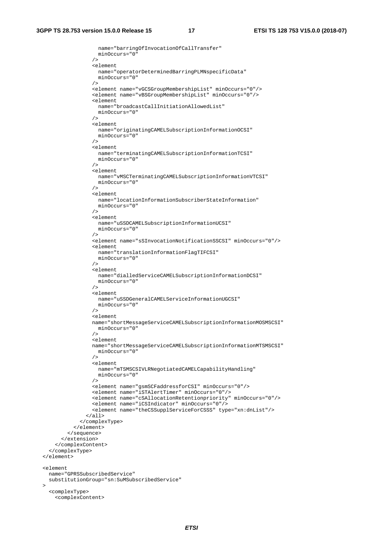$\rightarrow$ 

```
 name="barringOfInvocationOfCallTransfer" 
                    minOccurs="0" 
                 / <element 
                   name="operatorDeterminedBarringPLMNspecificData" 
                   minOccurs="0" 
 /> 
                  <element name="vGCSGroupMembershipList" minOccurs="0"/> 
                  <element name="vBSGroupMembershipList" minOccurs="0"/> 
                  <element 
                   name="broadcastCallInitiationAllowedList" 
                   minOccurs="0" 
 /> 
                  <element 
                   name="originatingCAMELSubscriptionInformationOCSI" 
                   minOccurs="0" 
 /> 
                  <element 
                    name="terminatingCAMELSubscriptionInformationTCSI" 
                  minOccurs="0" 
 /> 
                  <element 
                   name="vMSCTerminatingCAMELSubscriptionInformationVTCSI" 
                   minOccurs="0" 
 /> 
                  <element 
                   name="locationInformationSubscriberStateInformation" 
                   minOccurs="0" 
 /> 
                  <element 
                   name="uSSDCAMELSubscriptionInformationUCSI" 
                    minOccurs="0" 
 /> 
                  <element name="sSInvocationNotificationSSCSI" minOccurs="0"/> 
                  <element 
                    name="translationInformationFlagTIFCSI" 
                   minOccurs="0" 
 /> 
                  <element 
                   name="dialledServiceCAMELSubscriptionInformationDCSI" 
                  minOccurs="0" 
 /> 
                  <element 
                   name="uSSDGeneralCAMELServiceInformationUGCSI" 
                   minOccurs="0" 
 /> 
                  <element 
                  name="shortMessageServiceCAMELSubscriptionInformationMOSMSCSI" 
                   minOccurs="0" 
                 / <element 
                  name="shortMessageServiceCAMELSubscriptionInformationMTSMSCSI" 
                   minOccurs="0" 
 /> 
                  <element 
                   name="mTSMSCSIVLRNegotiatedCAMELCapabilityHandling" 
                   minOccurs="0" 
 /> 
                  <element name="gsmSCFaddressforCSI" minOccurs="0"/> 
                  <element name="iSTAlertTimer" minOccurs="0"/> 
                  <element name="cSAllocationRetentionpriority" minOccurs="0"/> 
                  <element name="iCSIndicator" minOccurs="0"/> 
                  <element name="theCSSupplServiceForCSSS" type="xn:dnList"/> 
               \langleall\rangle </complexType> 
            </element> 
          </sequence> 
        </extension> 
      </complexContent> 
    </complexType> 
  </element> 
  <element 
    name="GPRSSubscribedService" 
    substitutionGroup="sn:SuMSubscribedService" 
    <complexType> 
      <complexContent>
```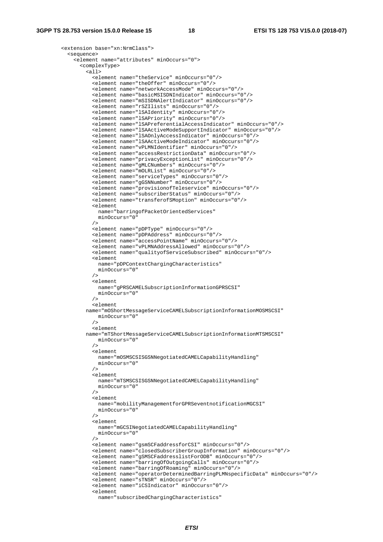```
 <extension base="xn:NrmClass"> 
          <sequence> 
            <element name="attributes" minOccurs="0"> 
              <complexType> 
               <sub>all</sub></sub>
                  <element name="theService" minOccurs="0"/> 
                  <element name="theOffer" minOccurs="0"/> 
                  <element name="networkAccessMode" minOccurs="0"/> 
                  <element name="basicMSISDNIndicator" minOccurs="0"/> 
                  <element name="mSISDNAlertIndicator" minOccurs="0"/> 
                  <element name="rSZIlists" minOccurs="0"/> 
 <element name="lSAIdentity" minOccurs="0"/> 
 <element name="lSAPriority" minOccurs="0"/> 
                  <element name="lSAPreferentialAccessIndicator" minOccurs="0"/> 
                  <element name="lSAActiveModeSupportIndicator" minOccurs="0"/> 
                  <element name="lSAOnlyAccessIndicator" minOccurs="0"/> 
                  <element name="lSAActiveModeIndicator" minOccurs="0"/> 
                  <element name="vPLMNIdentifier" minOccurs="0"/> 
                  <element name="accessRestrictionData" minOccurs="0"/> 
                  <element name="privacyExceptionList" minOccurs="0"/> 
                  <element name="gMLCNumbers" minOccurs="0"/> 
                  <element name="mOLRList" minOccurs="0"/> 
                  <element name="serviceTypes" minOccurs="0"/> 
                  <element name="gGSNNumber" minOccurs="0"/> 
                  <element name="provisionofTeleservice" minOccurs="0"/> 
                  <element name="subscriberStatus" minOccurs="0"/> 
                  <element name="transferofSMoption" minOccurs="0"/> 
                  <element 
                    name="barringofPacketOrientedServices" 
                    minOccurs="0" 
 /> 
                  <element name="pDPType" minOccurs="0"/> 
                  <element name="pDPAddress" minOccurs="0"/> 
                  <element name="accessPointName" minOccurs="0"/> 
                  <element name="vPLMNAddressAllowed" minOccurs="0"/> 
                  <element name="qualityofServiceSubscribed" minOccurs="0"/> 
                  <element 
                    name="pDPContextChargingCharacteristics" 
                    minOccurs="0" 
 /> 
                  <element 
                    name="gPRSCAMELSubscriptionInformationGPRSCSI" 
                    minOccurs="0" 
 /> 
                  <element 
                name="mOShortMessageServiceCAMELSubscriptionInformationMOSMSCSI" 
                   minOccurs="0" 
 /> 
                  <element 
                name="mTShortMessageServiceCAMELSubscriptionInformationMTSMSCSI" 
                   minOccurs="0" 
 /> 
                  <element 
                    name="mOSMSCSISGSNNegotiatedCAMELCapabilityHandling" 
                    minOccurs="0" 
 /> 
                  <element 
                    name="mTSMSCSISGSNNegotiatedCAMELCapabilityHandling" 
                    minOccurs="0" 
 /> 
                  <element 
                    name="mobilityManagementforGPRSeventnotificationMGCSI" 
                    minOccurs="0" 
 /> 
                  <element 
                    name="mGCSINegotiatedCAMELCapabilityHandling" 
                  minOccurs="0" 
 /> 
                  <element name="gsmSCFaddressforCSI" minOccurs="0"/> 
                  <element name="closedSubscriberGroupInformation" minOccurs="0"/> 
                  <element name="gSMSCFaddresslistForODB" minOccurs="0"/> 
                  <element name="barringOfOutgoingCalls" minOccurs="0"/> 
                  <element name="barringOfRoaming" minOccurs="0"/> 
                  <element name="operatorDeterminedBarringPLMNspecificData" minOccurs="0"/> 
                  <element name="sTNSR" minOccurs="0"/> 
                  <element name="iCSIndicator" minOccurs="0"/> 
                  <element 
                    name="subscribedChargingCharacteristics"
```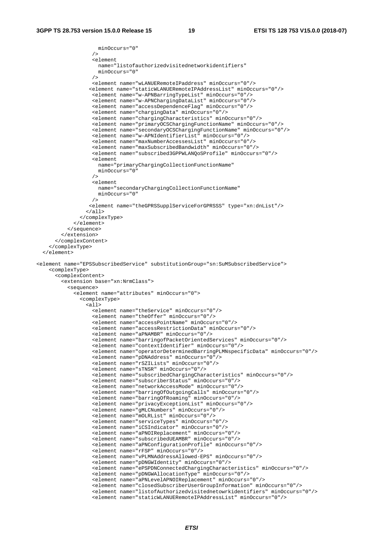```
 minOccurs="0" 
 /> 
                   <element 
                     name="listofauthorizedvisitednetworkidentifiers" 
                     minOccurs="0" 
 /> 
                   <element name="wLANUERemoteIPaddress" minOccurs="0"/> 
                  <element name="staticWLANUERemoteIPAddressList" minOccurs="0"/> 
                   <element name="w-APNBarringTypeList" minOccurs="0"/> 
                   <element name="w-APNChargingDataList" minOccurs="0"/> 
                   <element name="accessDependenceFlag" minOccurs="0"/> 
                   <element name="chargingData" minOccurs="0"/> 
                   <element name="chargingCharacteristics" minOccurs="0"/> 
                   <element name="primaryOCSChargingFunctionName" minOccurs="0"/> 
                   <element name="secondaryOCSChargingFunctionName" minOccurs="0"/> 
                   <element name="w-APNIdentifierList" minOccurs="0"/> 
 <element name="maxNumberAccessesList" minOccurs="0"/> 
 <element name="maxSubscribedBandwidth" minOccurs="0"/> 
                   <element name="subscribed3GPPWLANQoSProfile" minOccurs="0"/> 
                   <element 
                    name="primaryChargingCollectionFunctionName" 
                     minOccurs="0" 
 /> 
                   <element 
                     name="secondaryChargingCollectionFunctionName" 
                     minOccurs="0" 
 /> 
                  <element name="theGPRSSupplServiceForGPRSSS" type="xn:dnList"/> 
                 </all> 
               </complexType> 
             </element> 
           </sequence> 
         </extension> 
       </complexContent> 
     </complexType> 
   </element> 
<element name="EPSSubscribedService" substitutionGroup="sn:SuMSubscribedService"> 
     <complexType> 
       <complexContent> 
         <extension base="xn:NrmClass"> 
           <sequence> 
             <element name="attributes" minOccurs="0"> 
               <complexType> 
                \alphall>
                   <element name="theService" minOccurs="0"/> 
                   <element name="theOffer" minOccurs="0"/> 
                   <element name="accessPointName" minOccurs="0"/> 
                   <element name="accessRestrictionData" minOccurs="0"/> 
                   <element name="aPNAMBR" minOccurs="0"/> 
                   <element name="barringofPacketOrientedServices" minOccurs="0"/> 
                   <element name="contextIdentifier" minOccurs="0"/> 
                   <element name="operatorDeterminedBarringPLMNspecificData" minOccurs="0"/> 
                   <element name="pDNAddress" minOccurs="0"/> 
                   <element name="rSZILists" minOccurs="0"/> 
                   <element name="sTNSR" minOccurs="0"/> 
                   <element name="subscribedChargingCharacteristics" minOccurs="0"/> 
                   <element name="subscriberStatus" minOccurs="0"/> 
                   <element name="networkAccessMode" minOccurs="0"/> 
                   <element name="barringOfOutgoingCalls" minOccurs="0"/> 
                   <element name="barringOfRoaming" minOccurs="0"/> 
                   <element name="privacyExceptionList" minOccurs="0"/> 
                   <element name="gMLCNumbers" minOccurs="0"/> 
                   <element name="mOLRList" minOccurs="0"/> 
                   <element name="serviceTypes" minOccurs="0"/> 
                   <element name="iCSIndicator" minOccurs="0"/> 
                   <element name="aPNOIReplacement" minOccurs="0"/> 
                   <element name="subscribedUEAMBR" minOccurs="0"/> 
                   <element name="aPNConfigurationProfile" minOccurs="0"/> 
                   <element name="rFSP" minOccurs="0"/> 
                   <element name="vPLMNAddressAllowed-EPS" minOccurs="0"/> 
                   <element name="pDNGWIdentity" minOccurs="0"/> 
                   <element name="ePSPDNConnectedChargingCharacteristics" minOccurs="0"/> 
                   <element name="pDNGWAllocationType" minOccurs="0"/> 
                   <element name="aPNLevelAPNOIReplacement" minOccurs="0"/> 
                   <element name="closedSubscriberUserGroupInformation" minOccurs="0"/> 
                   <element name="listofAuthorizedvisitednetowrkidentifiers" minOccurs="0"/> 
                   <element name="staticWLANUERemoteIPAddressList" minOccurs="0"/>
```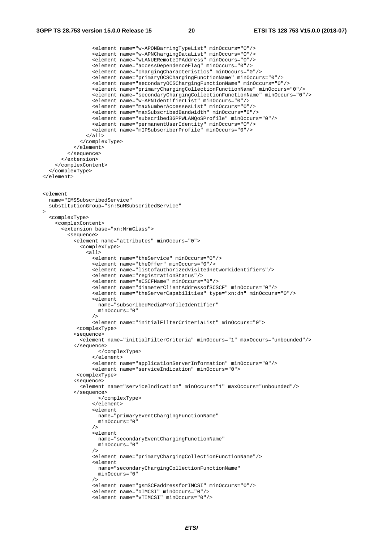```
 <element name="w-APONBarringTypeList" minOccurs="0"/> 
 <element name="w-APNChargingDataList" minOccurs="0"/> 
 <element name="wLANUERemoteIPAddress" minOccurs="0"/> 
                   <element name="accessDependenceFlag" minOccurs="0"/> 
                   <element name="chargingCharacteristics" minOccurs="0"/> 
                   <element name="primaryOCSChargingFunctionName" minOccurs="0"/> 
                   <element name="secondaryOCSChargingFunctionName" minOccurs="0"/> 
                   <element name="primaryChargingCollectionFunctionName" minOccurs="0"/> 
                   <element name="secondaryChargingCollectionFunctionName" minOccurs="0"/> 
                   <element name="w-APNIdentifierList" minOccurs="0"/> 
                   <element name="maxNumberAccessesList" minOccurs="0"/> 
                   <element name="maxSubscribedBandwidth" minOccurs="0"/> 
                   <element name="subscribed3GPPWLANQoSProfile" minOccurs="0"/> 
                   <element name="permanentUserIdentity" minOccurs="0"/> 
                   <element name="mIPSubscriberProfile" minOccurs="0"/> 
                \langleall\rangle </complexType> 
             </element> 
           </sequence> 
         </extension> 
      </complexContent> 
    </complexType> 
   </element> 
  <element 
    name="IMSSubscribedService" 
    substitutionGroup="sn:SuMSubscribedService" 
\rightarrow <complexType> 
       <complexContent> 
         <extension base="xn:NrmClass"> 
           <sequence> 
             <element name="attributes" minOccurs="0"> 
               <complexType> 
                 <all> 
                   <element name="theService" minOccurs="0"/> 
                   <element name="theOffer" minOccurs="0"/> 
                   <element name="listofauthorizedvisitednetworkidentifiers"/> 
                   <element name="registrationStatus"/> 
                   <element name="sCSCFName" minOccurs="0"/> 
                   <element name="diameterClientAddressofSCSCF" minOccurs="0"/> 
                   <element name="theServerCapabilities" type="xn:dn" minOccurs="0"/> 
                   <element 
                     name="subscribedMediaProfileIdentifier" 
                   minOccurs="0" 
 /> 
                   <element name="initialFilterCriteriaList" minOccurs="0"> 
              <complexType> 
             <sequence> 
               <element name="initialFilterCriteria" minOccurs="1" maxOccurs="unbounded"/> 
             </sequence> 
                     </complexType> 
                   </element> 
                   <element name="applicationServerInformation" minOccurs="0"/> 
                   <element name="serviceIndication" minOccurs="0"> 
              <complexType> 
             <sequence> 
               <element name="serviceIndication" minOccurs="1" maxOccurs="unbounded"/> 
             </sequence> 
                     </complexType> 
                   </element> 
                   <element 
                     name="primaryEventChargingFunctionName" 
                   minOccurs="0" 
 /> 
                   <element 
                     name="secondaryEventChargingFunctionName" 
                     minOccurs="0" 
 /> 
                   <element name="primaryChargingCollectionFunctionName"/> 
                   <element 
                    name="secondaryChargingCollectionFunctionName" 
                     minOccurs="0" 
 /> 
                   <element name="gsmSCFaddressforIMCSI" minOccurs="0"/> 
                   <element name="oIMCSI" minOccurs="0"/> 
                   <element name="vTIMCSI" minOccurs="0"/>
```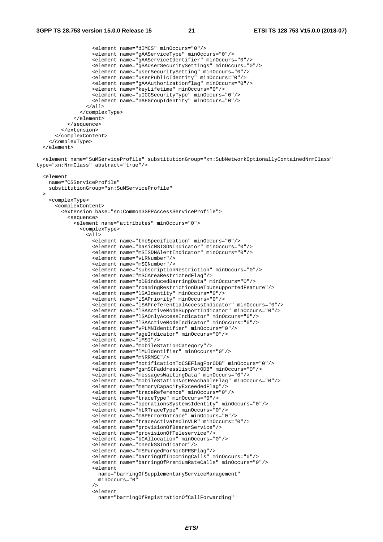```
 <element name="dIMCS" minOccurs="0"/> 
                    <element name="gAAServiceType" minOccurs="0"/> 
                    <element name="gAAServiceIdentifier" minOccurs="0"/> 
                    <element name="gBAUserSecuritySettings" minOccurs="0"/> 
                    <element name="userSecuritySetting" minOccurs="0"/> 
                    <element name="userPublicIdentity" minOccurs="0"/> 
                    <element name="gAAAuthorizationflag" minOccurs="0"/> 
                    <element name="keyLifetime" minOccurs="0"/> 
                    <element name="uICCSecurityType" minOccurs="0"/> 
                    <element name="nAFGroupIdentity" minOccurs="0"/> 
                  </all> 
               </complexType> 
             </element> 
           </sequence> 
         </extension> 
       </complexContent> 
     </complexType> 
  \epsilon/element>
   <element name="SuMServiceProfile" substitutionGroup="xn:SubNetworkOptionallyContainedNrmClass" 
type="xn:NrmClass" abstract="true"/> 
   <element 
    name="CSServiceProfile" 
     substitutionGroup="sn:SuMServiceProfile" 
\rightarrow <complexType> 
       <complexContent> 
         <extension base="sn:Common3GPPAccessServiceProfile"> 
           <sequence> 
             <element name="attributes" minOccurs="0"> 
                <complexType> 
                 \overline{311} <element name="theSpecification" minOccurs="0"/> 
                    <element name="basicMSISDNIndicator" minOccurs="0"/> 
                    <element name="mSISDNAlertIndicator" minOccurs="0"/> 
                    <element name="vLRNumber"/> 
                    <element name="mSCNumber"/> 
                    <element name="subscriptionRestriction" minOccurs="0"/> 
                    <element name="mSCAreaRestrictedFlag"/> 
                    <element name="oDBinducedBarringData" minOccurs="0"/> 
                    <element name="roamingRestrictionDueToUnsupportedFeature"/> 
                    <element name="lSAIdentity" minOccurs="0"/> 
                    <element name="lSAPriority" minOccurs="0"/> 
                    <element name="lSAPreferentialAccessIndicator" minOccurs="0"/> 
                    <element name="lSAActiveModeSupportIndicator" minOccurs="0"/> 
                    <element name="lSAOnlyAccessIndicator" minOccurs="0"/> 
                    <element name="lSAActiveModeIndicator" minOccurs="0"/> 
                    <element name="vPLMNIdentifier" minOccurs="0"/> 
                    <element name="ageIndicator" minOccurs="0"/> 
                    <element name="lMSI"/> 
                    <element name="mobileStationCategory"/> 
                    <element name="lMUIdentifier" minOccurs="0"/> 
                    <element name="mNRRMSC"/> 
                    <element name="notificationToCSEFlagForODB" minOccurs="0"/> 
                    <element name="gsmSCFaddresslistForODB" minOccurs="0"/> 
                    <element name="messagesWaitingData" minOccurs="0"/> 
                    <element name="mobileStationNotReachableFlag" minOccurs="0"/> 
                    <element name="memoryCapacityExceededFlag"/> 
                    <element name="traceReference" minOccurs="0"/> 
                    <element name="traceType" minOccurs="0"/> 
                    <element name="operationsSystemsIdentity" minOccurs="0"/> 
                    <element name="hLRTraceType" minOccurs="0"/> 
                    <element name="mAPErrorOnTrace" minOccurs="0"/> 
                    <element name="traceActivatedInVLR" minOccurs="0"/> 
                    <element name="provisionOfBearerService"/> 
                    <element name="provisionOfTeleservice"/> 
                    <element name="bCAllocation" minOccurs="0"/> 
                    <element name="checkSSIndicator"/> 
                    <element name="mSPurgedForNonGPRSFlag"/> 
                    <element name="barringOfIncomingCalls" minOccurs="0"/> 
                    <element name="barringOfPremiumRateCalls" minOccurs="0"/> 
                    <element 
                     name="barringOfSupplementaryServiceManagement" 
                     minOccurs="0" 
 /> 
                    <element 
                      name="barringOfRegistrationOfCallForwarding"
```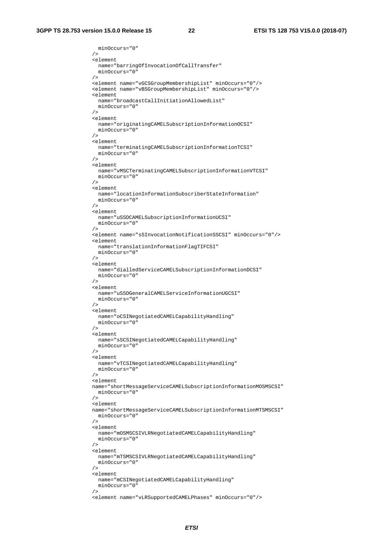minOccurs="0"

```
 /> 
                 <element 
                  name="barringOfInvocationOfCallTransfer" 
                   minOccurs="0" 
 /> 
                 <element name="vGCSGroupMembershipList" minOccurs="0"/> 
                 <element name="vBSGroupMembershipList" minOccurs="0"/> 
                 <element 
                  name="broadcastCallInitiationAllowedList" 
                  minOccurs="0" 
 /> 
                 <element 
                  name="originatingCAMELSubscriptionInformationOCSI" 
                  minOccurs="0" 
 /> 
                 <element 
                  name="terminatingCAMELSubscriptionInformationTCSI" 
                 minOccurs="0" 
 /> 
                 <element 
                  name="vMSCTerminatingCAMELSubscriptionInformationVTCSI" 
                  minOccurs="0" 
                / <element 
                  name="locationInformationSubscriberStateInformation" 
                  minOccurs="0" 
 /> 
                 <element 
                  name="uSSDCAMELSubscriptionInformationUCSI" 
                 minOccurs="0" 
 /> 
                 <element name="sSInvocationNotificationSSCSI" minOccurs="0"/> 
                 <element 
                  name="translationInformationFlagTIFCSI" 
                  minOccurs="0" 
 /> 
                 <element 
                  name="dialledServiceCAMELSubscriptionInformationDCSI" 
                  minOccurs="0" 
 /> 
                 <element 
                  name="uSSDGeneralCAMELServiceInformationUGCSI" 
                  minOccurs="0" 
 /> 
                 <element 
                  name="oCSINegotiatedCAMELCapabilityHandling" 
                  minOccurs="0" 
                / <element 
                  name="sSCSINegotiatedCAMELCapabilityHandling" 
                  minOccurs="0" 
 /> 
                 <element 
                  name="vTCSINegotiatedCAMELCapabilityHandling" 
                  minOccurs="0" 
 /> 
                 <element 
                 name="shortMessageServiceCAMELSubscriptionInformationMOSMSCSI" 
                  minOccurs="0" 
 /> 
                 <element 
                 name="shortMessageServiceCAMELSubscriptionInformationMTSMSCSI" 
                  minOccurs="0" 
 /> 
                 <element 
                  name="mOSMSCSIVLRNegotiatedCAMELCapabilityHandling" 
                  minOccurs="0" 
 /> 
                \leq \leq \leq \leq \leq name="mTSMSCSIVLRNegotiatedCAMELCapabilityHandling" 
                  minOccurs="0" 
 /> 
                 <element 
                  name="mCSINegotiatedCAMELCapabilityHandling" 
                  minOccurs="0" 
 /> 
                 <element name="vLRSupportedCAMELPhases" minOccurs="0"/>
```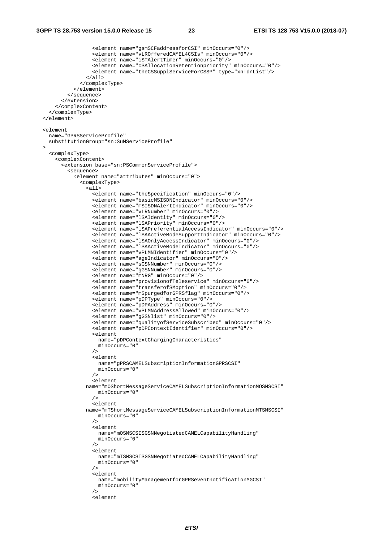<element name="gsmSCFaddressforCSI" minOccurs="0"/> <element name="vLROfferedCAMEL4CSIs" minOccurs="0"/> <element name="iSTAlertTimer" minOccurs="0"/> <element name="cSAllocationRetentionpriority" minOccurs="0"/> <element name="theCSSupplServiceForCSSP" type="xn:dnList"/>  $\langle$ all $\rangle$  </complexType> </element> </sequence> </extension> </complexContent> </complexType> </element> <element name="GPRSServiceProfile" substitutionGroup="sn:SuMServiceProfile"  $\rightarrow$  <complexType> <complexContent> <extension base="sn:PSCommonServiceProfile"> <sequence> <element name="attributes" minOccurs="0"> <complexType> <all> <element name="theSpecification" minOccurs="0"/> <element name="basicMSISDNIndicator" minOccurs="0"/> <element name="mSISDNAlertIndicator" minOccurs="0"/> <element name="vLRNumber" minOccurs="0"/> <element name="lSAIdentity" minOccurs="0"/> <element name="lSAPriority" minOccurs="0"/> <element name="lSAPreferentialAccessIndicator" minOccurs="0"/> <element name="lSAActiveModeSupportIndicator" minOccurs="0"/> <element name="lSAOnlyAccessIndicator" minOccurs="0"/> <element name="lSAActiveModeIndicator" minOccurs="0"/> <element name="vPLMNIdentifier" minOccurs="0"/> <element name="ageIndicator" minOccurs="0"/> <element name="sGSNNumber" minOccurs="0"/> <element name="gGSNNumber" minOccurs="0"/> <element name="mNRG" minOccurs="0"/> <element name="provisionofTeleservice" minOccurs="0"/> <element name="transferofSMoption" minOccurs="0"/> <element name="mSpurgedforGPRSflag" minOccurs="0"/> <element name="pDPType" minOccurs="0"/> <element name="pDPAddress" minOccurs="0"/> <element name="vPLMNAddressAllowed" minOccurs="0"/> <element name="gGSNlist" minOccurs="0"/> <element name="qualityofServiceSubscribed" minOccurs="0"/> <element name="pDPContextIdentifier" minOccurs="0"/> <element name="pDPContextChargingCharacteristics" minOccurs="0" /> <element name="gPRSCAMELSubscriptionInformationGPRSCSI" minOccurs="0" /> <element name="mOShortMessageServiceCAMELSubscriptionInformationMOSMSCSI" minOccurs="0" /> <element name="mTShortMessageServiceCAMELSubscriptionInformationMTSMSCSI" minOccurs="0" /> <element name="mOSMSCSISGSNNegotiatedCAMELCapabilityHandling" minOccurs="0" />  $\leq$   $\leq$   $\leq$   $\leq$   $\leq$  name="mTSMSCSISGSNNegotiatedCAMELCapabilityHandling" minOccurs="0" /> <element name="mobilityManagementforGPRSeventnotificationMGCSI" minOccurs="0" /> <element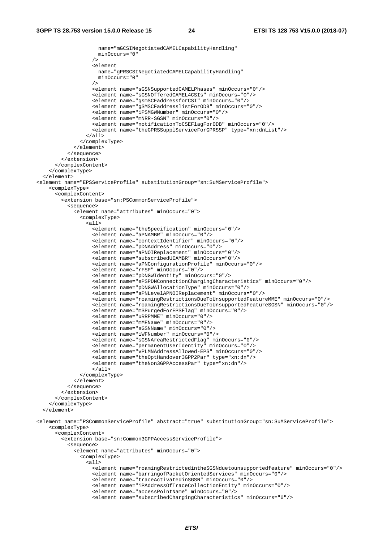```
 name="mGCSINegotiatedCAMELCapabilityHandling" 
                     minOccurs="0" 
 /> 
                    <element 
                     name="gPRSCSINegotiatedCAMELCapabilityHandling" 
                     minOccurs="0" 
 /> 
                    <element name="sGSNSupportedCAMELPhases" minOccurs="0"/> 
                    <element name="sGSNOfferedCAMEL4CSIs" minOccurs="0"/> 
                    <element name="gsmSCFaddressforCSI" minOccurs="0"/> 
                    <element name="gSMSCFaddresslistForODB" minOccurs="0"/> 
                    <element name="iPSMGWNumber" minOccurs="0"/> 
                    <element name="mNRR-SGSN" minOccurs="0"/> 
                    <element name="notificationToCSEFlagForODB" minOccurs="0"/> 
                    <element name="theGPRSSupplServiceForGPRSSP" type="xn:dnList"/> 
                 \langleall\rangle </complexType> 
             </element> 
           </sequence> 
         </extension> 
       </complexContent> 
     </complexType> 
   </element> 
<element name="EPSServiceProfile" substitutionGroup="sn:SuMServiceProfile"> 
     <complexType> 
       <complexContent> 
         <extension base="sn:PSCommonServiceProfile"> 
           <sequence> 
             <element name="attributes" minOccurs="0"> 
               <complexType> 
                 <all> 
                    <element name="theSpecification" minOccurs="0"/> 
                    <element name="aPNAMBR" minOccurs="0"/> 
                    <element name="contextIdentifier" minOccurs="0"/> 
                    <element name="pDNAddress" minOccurs="0"/> 
                    <element name="aPNOIReplacement" minOccurs="0"/> 
                    <element name="subscribedUEAMBR" minOccurs="0"/> 
                    <element name="aPNConfigurationProfile" minOccurs="0"/> 
                    <element name="rFSP" minOccurs="0"/> 
                    <element name="pDNGWIdentity" minOccurs="0"/> 
                    <element name="ePSPDNConnectionChargingCharacteristics" minOccurs="0"/> 
                    <element name="pDNGWAllocationType" minOccurs="0"/> 
                    <element name="aPNLevelAPNOIReplacement" minOccurs="0"/> 
                    <element name="roamingRestrictionsDueToUnsupportedFeatureMME" minOccurs="0"/> 
                    <element name="roamingRestrictionsDueToUnsupportedFeatureSGSN" minOccurs="0"/> 
                    <element name="mSPurgedForEPSFlag" minOccurs="0"/> 
                    <element name="uRRPMME" minOccurs="0"/> 
                    <element name="mMEName" minOccurs="0"/> 
                    <element name="sGSNName" minOccurs="0"/> 
                    <element name="iWFNumber" minOccurs="0"/> 
                    <element name="sGSNAreaRestrictedFlag" minOccurs="0"/> 
                    <element name="permanentUserIdentity" minOccurs="0"/> 
                    <element name="vPLMNAddressAllowed-EPS" minOccurs="0"/> 
                    <element name="theOptHandover3GPP2Par" type="xn:dn"/> 
                    <element name="theNon3GPPAccessPar" type="xn:dn"/> 
                    </all> 
               </complexType> 
             </element> 
           </sequence> 
         </extension> 
       </complexContent> 
     </complexType> 
   </element> 
<element name="PSCommonServiceProfile" abstract="true" substitutionGroup="sn:SuMServiceProfile"> 
     <complexType> 
       <complexContent> 
         <extension base="sn:Common3GPPAccessServiceProfile"> 
           <sequence> 
             <element name="attributes" minOccurs="0"> 
               <complexType> 
                  <all> 
                   <element name="roamingRestrictedintheSGSNduetounsupportedfeature" minOccurs="0"/> 
                    <element name="barringofPacketOrientedServices" minOccurs="0"/> 
                    <element name="traceActivatedinSGSN" minOccurs="0"/> 
                    <element name="iPAddressOfTraceCollectionEntity" minOccurs="0"/> 
                    <element name="accessPointName" minOccurs="0"/> 
                    <element name="subscribedChargingCharacteristics" minOccurs="0"/>
```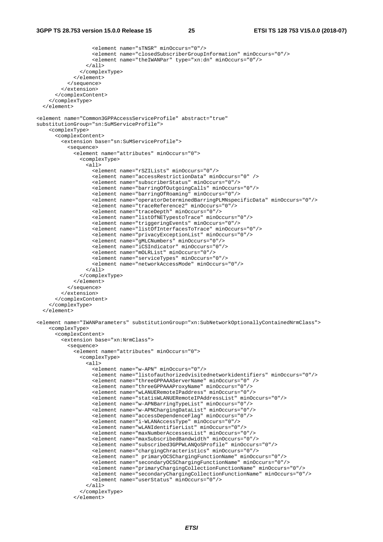```
 <element name="sTNSR" minOccurs="0"/> 
                    <element name="closedSubscriberGroupInformation" minOccurs="0"/> 
                    <element name="theIWANPar" type="xn:dn" minOccurs="0"/> 
                 \epsilon/all\epsilon </complexType> 
              </element> 
           </sequence> 
         </extension> 
       </complexContent> 
     </complexType> 
   </element> 
<element name="Common3GPPAccessServiceProfile" abstract="true" 
substitutionGroup="sn:SuMServiceProfile"> 
     <complexType> 
       <complexContent> 
         <extension base="sn:SuMServiceProfile"> 
           <sequence> 
              <element name="attributes" minOccurs="0"> 
                <complexType> 
                  <all> 
                    <element name="rSZILists" minOccurs="0"/> 
                    <element name="accessRestrictionData" minOccurs="0" /> 
                    <element name="subscriberStatus" minOccurs="0"/> 
                    <element name="barringOfOutgoingCalls" minOccurs="0"/> 
                    <element name="barringOfRoaming" minOccurs="0"/> 
                    <element name="operatorDeterminedBarringPLMNspecificData" minOccurs="0"/> 
                    <element name="traceReference2" minOccurs="0"/> 
                    <element name="traceDepth" minOccurs="0"/> 
                    <element name="listOfNETypestoTrace" minOccurs="0"/> 
                    <element name="triggeringEvents" minOccurs="0"/> 
                    <element name="listOfInterfacesToTrace" minOccurs="0"/> 
                    <element name="privacyExceptionList" minOccurs="0"/> 
                    <element name="gMLCNumbers" minOccurs="0"/> 
                    <element name="iCSIndicator" minOccurs="0"/> 
                    <element name="mOLRList" minOccurs="0"/> 
                    <element name="serviceTypes" minOccurs="0"/> 
                    <element name="networkAccessMode" minOccurs="0"/> 
                 \langleall\rangle </complexType> 
              </element> 
           </sequence> 
         </extension> 
       </complexContent> 
     </complexType> 
   </element> 
<element name="IWANParameters" substitutionGroup="xn:SubNetworkOptionallyContainedNrmClass"> 
     <complexType> 
       <complexContent> 
         <extension base="xn:NrmClass"> 
           <sequence> 
              <element name="attributes" minOccurs="0"> 
                <complexType> 
                 \overline{\text{cal1}} <element name="w-APN" minOccurs="0"/> 
                    <element name="listofauthorizedvisitednetworkidentifiers" minOccurs="0"/> 
                    <element name="threeGPPAAAServerName" minOccurs="0" /> 
                    <element name="threeGPPAAAProxyName" minOccurs="0"/> 
                    <element name="wLANUERemoteIPaddress" minOccurs="0"/> 
                    <element name="statisWLANUERemoteIPAddressList" minOccurs="0"/> 
                    <element name="w-APNBarringTypeList" minOccurs="0"/> 
                    <element name="w-APNChargingDataList" minOccurs="0"/> 
                    <element name="accessDependenceFlag" minOccurs="0"/> 
                    <element name="i-WLANAccessType" minOccurs="0"/> 
                    <element name="wLANIdentifierList" minOccurs="0"/> 
                    <element name="maxNumberAccessesList" minOccurs="0"/> 
                    <element name="maxSubscribedBandwidth" minOccurs="0"/> 
                    <element name="subscribed3GPPWLANQoSProfile" minOccurs="0"/> 
                    <element name="chargingChracteristics" minOccurs="0"/> 
                    <element name=" primaryOCSChargingFunctionName" minOccurs="0"/> 
                    <element name="secondaryOCSChargingFunctionName" minOccurs="0"/> 
                    <element name="primaryChargingCollectionFunctionName" minOccurs="0"/> 
                    <element name="secondaryChargingCollectionFunctionName" minOccurs="0"/> 
                    <element name="userStatus" minOccurs="0"/> 
                 \langleall\rangle </complexType> 
              </element>
```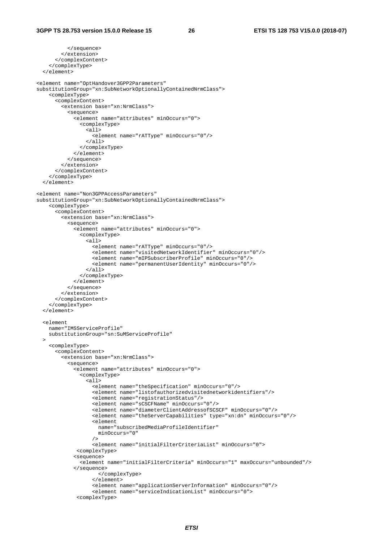```
 </sequence> 
          </extension> 
       </complexContent> 
     </complexType> 
   </element> 
<element name="OptHandover3GPP2Parameters" 
substitutionGroup="xn:SubNetworkOptionallyContainedNrmClass"> 
     <complexType> 
       <complexContent> 
          <extension base="xn:NrmClass"> 
            <sequence> 
              <element name="attributes" minOccurs="0"> 
                <complexType> 
                  <all> 
                    <element name="rATType" minOccurs="0"/> 
                 \langle/all\rangle </complexType> 
              </element> 
            </sequence> 
          </extension> 
       </complexContent> 
     </complexType> 
   </element> 
<element name="Non3GPPAccessParameters" 
substitutionGroup="xn:SubNetworkOptionallyContainedNrmClass"> 
     <complexType> 
       <complexContent> 
          <extension base="xn:NrmClass"> 
            <sequence> 
              <element name="attributes" minOccurs="0"> 
                <complexType> 
                 \overline{\text{cal1}} <element name="rATType" minOccurs="0"/> 
                     <element name="visitedNetworkIdentifier" minOccurs="0"/> 
                     <element name="mIPSubscriberProfile" minOccurs="0"/> 
                     <element name="permanentUserIdentity" minOccurs="0"/> 
                 \langleall\rangle </complexType> 
              </element> 
            </sequence> 
          </extension> 
       </complexContent> 
     </complexType> 
   </element> 
   <element 
     name="IMSServiceProfile" 
     substitutionGroup="sn:SuMServiceProfile" 
   > 
     <complexType> 
       <complexContent> 
          <extension base="xn:NrmClass"> 
            <sequence> 
              <element name="attributes" minOccurs="0"> 
                <complexType> 
                  <all> 
                     <element name="theSpecification" minOccurs="0"/> 
                     <element name="listofauthorizedvisitednetworkidentifiers"/> 
                     <element name="registrationStatus"/> 
                     <element name="sCSCFName" minOccurs="0"/> 
                     <element name="diameterClientAddressofSCSCF" minOccurs="0"/> 
                     <element name="theServerCapabilities" type="xn:dn" minOccurs="0"/> 
                     <element 
                       name="subscribedMediaProfileIdentifier" 
                     minOccurs="0" 
 /> 
                     <element name="initialFilterCriteriaList" minOccurs="0"> 
               <complexType> 
              <sequence> 
                <element name="initialFilterCriteria" minOccurs="1" maxOccurs="unbounded"/> 
              </sequence> 
                       </complexType> 
                     </element> 
                     <element name="applicationServerInformation" minOccurs="0"/> 
                     <element name="serviceIndicationList" minOccurs="0"> 
               <complexType>
```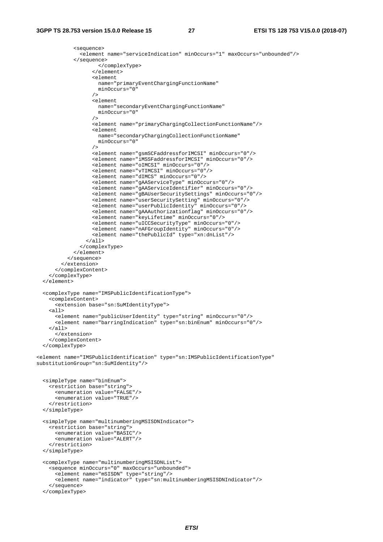```
 <sequence> 
                <element name="serviceIndication" minOccurs="1" maxOccurs="unbounded"/> 
              </sequence> 
                      </complexType> 
                    </element> 
                    <element 
                     name="primaryEventChargingFunctionName" 
                    minOccurs="0" 
 /> 
                    <element 
                     name="secondaryEventChargingFunctionName" 
                     minOccurs="0" 
 /> 
                    <element name="primaryChargingCollectionFunctionName"/> 
                    <element 
                     name="secondaryChargingCollectionFunctionName" 
                     minOccurs="0" 
 /> 
                    <element name="gsmSCFaddressforIMCSI" minOccurs="0"/> 
                    <element name="iMSSFaddressforIMCSI" minOccurs="0"/> 
                    <element name="oIMCSI" minOccurs="0"/> 
                    <element name="vTIMCSI" minOccurs="0"/> 
                    <element name="dIMCS" minOccurs="0"/> 
                    <element name="gAAServiceType" minOccurs="0"/> 
                    <element name="gAAServiceIdentifier" minOccurs="0"/> 
                    <element name="gBAUserSecuritySettings" minOccurs="0"/> 
                    <element name="userSecuritySetting" minOccurs="0"/> 
                    <element name="userPublicIdentity" minOccurs="0"/> 
                    <element name="gAAAuthorizationflag" minOccurs="0"/> 
                    <element name="keyLifetime" minOccurs="0"/> 
                    <element name="uICCSecurityType" minOccurs="0"/> 
                    <element name="nAFGroupIdentity" minOccurs="0"/> 
                    <element name="thePublicId" type="xn:dnList"/> 
                  </all> 
               </complexType> 
             </element> 
           </sequence> 
         </extension> 
       </complexContent> 
     </complexType> 
   </element> 
   <complexType name="IMSPublicIdentificationType"> 
     <complexContent> 
       <extension base="sn:SuMIdentityType"> 
     <all> 
       <element name="publicUserIdentity" type="string" minOccurs="0"/> 
       <element name="barringIndication" type="sn:binEnum" minOccurs="0"/> 
    \langleall\rangle </extension> 
     </complexContent> 
   </complexType> 
<element name="IMSPublicIdentification" type="sn:IMSPublicIdentificationType" 
substitutionGroup="sn:SuMIdentity"/> 
   <simpleType name="binEnum"> 
     <restriction base="string"> 
       <enumeration value="FALSE"/> 
       <enumeration value="TRUE"/> 
     </restriction> 
  </simpleType> 
   <simpleType name="multinumberingMSISDNIndicator"> 
     <restriction base="string"> 
       <enumeration value="BASIC"/> 
       <enumeration value="ALERT"/> 
     </restriction> 
  </simpleType> 
   <complexType name="multinumberingMSISDNList"> 
     <sequence minOccurs="0" maxOccurs="unbounded"> 
       <element name="mSISDN" type="string"/> 
       <element name="indicator" type="sn:multinumberingMSISDNIndicator"/> 
     </sequence> 
  </complexType>
```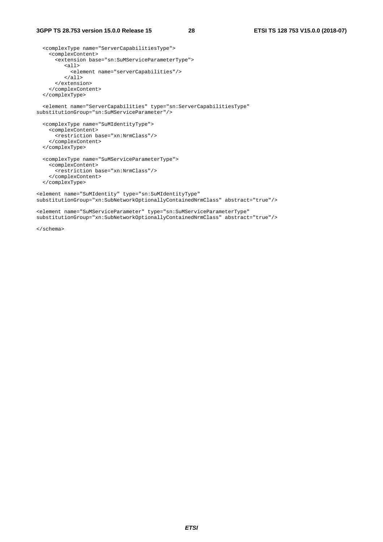```
 <complexType name="ServerCapabilitiesType"> 
     <complexContent> 
       <extension base="sn:SuMServiceParameterType"> 
          <all> 
            <element name="serverCapabilities"/> 
          </all> 
       </extension> 
     </complexContent> 
   </complexType> 
   <element name="ServerCapabilities" type="sn:ServerCapabilitiesType" 
substitutionGroup="sn:SuMServiceParameter"/> 
   <complexType name="SuMIdentityType"> 
    <complexContent> 
      <restriction base="xn:NrmClass"/> 
     </complexContent> 
   </complexType> 
   <complexType name="SuMServiceParameterType"> 
     <complexContent> 
       <restriction base="xn:NrmClass"/> 
     </complexContent> 
   </complexType> 
<element name="SuMIdentity" type="sn:SuMIdentityType" 
substitutionGroup="xn:SubNetworkOptionallyContainedNrmClass" abstract="true"/> 
<element name="SuMServiceParameter" type="sn:SuMServiceParameterType" 
substitutionGroup="xn:SubNetworkOptionallyContainedNrmClass" abstract="true"/>
```
</schema>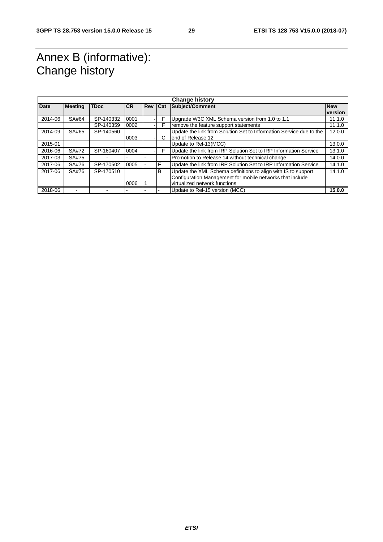# Annex B (informative): Change history

| <b>Change history</b> |                |             |           |            |            |                                                                     |            |  |  |
|-----------------------|----------------|-------------|-----------|------------|------------|---------------------------------------------------------------------|------------|--|--|
| <b>Date</b>           | <b>Meeting</b> | <b>TDoc</b> | <b>CR</b> | <b>Rev</b> | <b>Cat</b> | <b>Subject/Comment</b>                                              | <b>New</b> |  |  |
|                       |                |             |           |            |            |                                                                     | version    |  |  |
| 2014-06               | SA#64          | SP-140332   | 0001      |            | F          | Upgrade W3C XML Schema version from 1.0 to 1.1                      | 11.1.0     |  |  |
|                       |                | SP-140359   | 0002      |            | F          | remove the feature support statements                               | 11.1.0     |  |  |
| 2014-09               | SA#65          | SP-140560   |           |            |            | Update the link from Solution Set to Information Service due to the | 12.0.0     |  |  |
|                       |                |             | 0003      |            | C          | end of Release 12                                                   |            |  |  |
| 2015-01               |                |             |           |            |            | Update to Rel-13(MCC)                                               | 13.0.0     |  |  |
| 2016-06               | SA#72          | SP-160407   | 0004      |            | F          | Update the link from IRP Solution Set to IRP Information Service    | 13.1.0     |  |  |
| 2017-03               | SA#75          |             |           |            |            | Promotion to Release 14 without technical change                    | 14.0.0     |  |  |
| 2017-06               | SA#76          | SP-170502   | 0005      |            | F          | Update the link from IRP Solution Set to IRP Information Service    | 14.1.0     |  |  |
| 2017-06               | SA#76          | SP-170510   |           |            | B          | Update the XML Schema definitions to align with IS to support       | 14.1.0     |  |  |
|                       |                |             |           |            |            | Configuration Management for mobile networks that include           |            |  |  |
|                       |                |             | 0006      |            |            | virtualized network functions                                       |            |  |  |
| 2018-06               |                |             |           |            |            | Update to Rel-15 version (MCC)                                      | 15.0.0     |  |  |